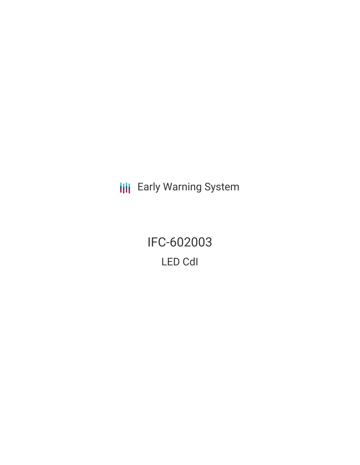**III** Early Warning System

IFC-602003 LED CdI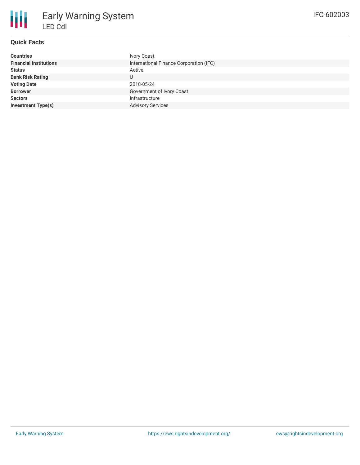

## **Quick Facts**

| <b>Countries</b>              | Ivory Coast                             |
|-------------------------------|-----------------------------------------|
| <b>Financial Institutions</b> | International Finance Corporation (IFC) |
| <b>Status</b>                 | Active                                  |
| <b>Bank Risk Rating</b>       |                                         |
| <b>Voting Date</b>            | 2018-05-24                              |
| <b>Borrower</b>               | Government of Ivory Coast               |
| <b>Sectors</b>                | Infrastructure                          |
| <b>Investment Type(s)</b>     | <b>Advisory Services</b>                |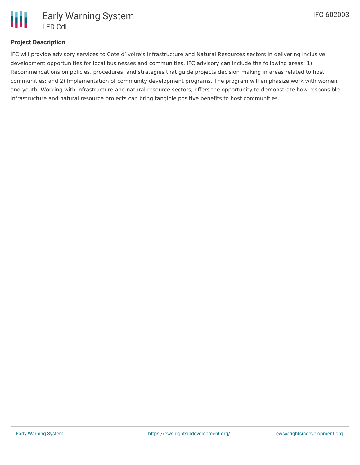

# **Project Description**

IFC will provide advisory services to Cote d'Ivoire's Infrastructure and Natural Resources sectors in delivering inclusive development opportunities for local businesses and communities. IFC advisory can include the following areas: 1) Recommendations on policies, procedures, and strategies that guide projects decision making in areas related to host communities; and 2) Implementation of community development programs. The program will emphasize work with women and youth. Working with infrastructure and natural resource sectors, offers the opportunity to demonstrate how responsible infrastructure and natural resource projects can bring tangible positive benefits to host communities.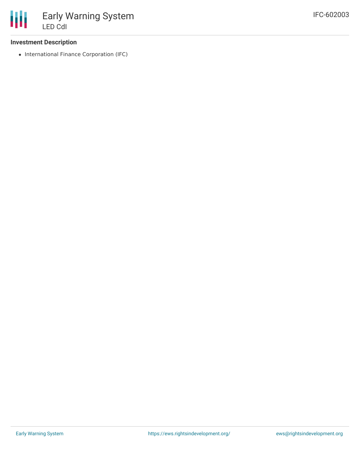### **Investment Description**

• International Finance Corporation (IFC)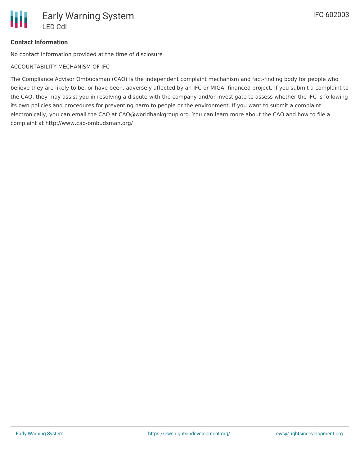## **Contact Information**

No contact information provided at the time of disclosure

ACCOUNTABILITY MECHANISM OF IFC

The Compliance Advisor Ombudsman (CAO) is the independent complaint mechanism and fact-finding body for people who believe they are likely to be, or have been, adversely affected by an IFC or MIGA- financed project. If you submit a complaint to the CAO, they may assist you in resolving a dispute with the company and/or investigate to assess whether the IFC is following its own policies and procedures for preventing harm to people or the environment. If you want to submit a complaint electronically, you can email the CAO at CAO@worldbankgroup.org. You can learn more about the CAO and how to file a complaint at http://www.cao-ombudsman.org/